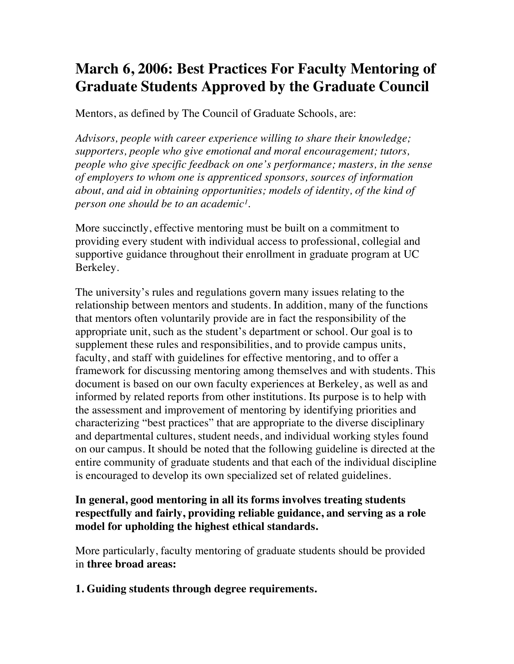# **March 6, 2006: Best Practices For Faculty Mentoring of Graduate Students Approved by the Graduate Council**

Mentors, as defined by The Council of Graduate Schools, are:

*Advisors, people with career experience willing to share their knowledge; supporters, people who give emotional and moral encouragement; tutors, people who give specific feedback on one's performance; masters, in the sense of employers to whom one is apprenticed sponsors, sources of information about, and aid in obtaining opportunities; models of identity, of the kind of person one should be to an academic<sup>1</sup>.* 

More succinctly, effective mentoring must be built on a commitment to providing every student with individual access to professional, collegial and supportive guidance throughout their enrollment in graduate program at UC Berkeley.

The university's rules and regulations govern many issues relating to the relationship between mentors and students. In addition, many of the functions that mentors often voluntarily provide are in fact the responsibility of the appropriate unit, such as the student's department or school. Our goal is to supplement these rules and responsibilities, and to provide campus units, faculty, and staff with guidelines for effective mentoring, and to offer a framework for discussing mentoring among themselves and with students. This document is based on our own faculty experiences at Berkeley, as well as and informed by related reports from other institutions. Its purpose is to help with the assessment and improvement of mentoring by identifying priorities and characterizing "best practices" that are appropriate to the diverse disciplinary and departmental cultures, student needs, and individual working styles found on our campus. It should be noted that the following guideline is directed at the entire community of graduate students and that each of the individual discipline is encouraged to develop its own specialized set of related guidelines.

#### **In general, good mentoring in all its forms involves treating students respectfully and fairly, providing reliable guidance, and serving as a role model for upholding the highest ethical standards.**

More particularly, faculty mentoring of graduate students should be provided in **three broad areas:**

# **1. Guiding students through degree requirements.**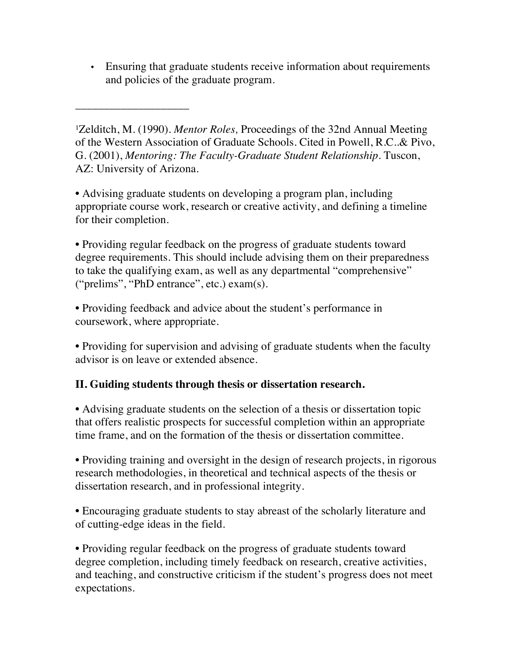• Ensuring that graduate students receive information about requirements and policies of the graduate program.

<sup>1</sup>Zelditch, M. (1990). *Mentor Roles*, Proceedings of the 32nd Annual Meeting of the Western Association of Graduate Schools. Cited in Powell, R.C..& Pivo, G. (2001), *Mentoring: The Faculty-Graduate Student Relationship.* Tuscon, AZ: University of Arizona.

\_\_\_\_\_\_\_\_\_\_\_\_\_\_\_\_\_\_\_\_

• Advising graduate students on developing a program plan, including appropriate course work, research or creative activity, and defining a timeline for their completion.

• Providing regular feedback on the progress of graduate students toward degree requirements. This should include advising them on their preparedness to take the qualifying exam, as well as any departmental "comprehensive" ("prelims", "PhD entrance", etc.) exam(s).

• Providing feedback and advice about the student's performance in coursework, where appropriate.

• Providing for supervision and advising of graduate students when the faculty advisor is on leave or extended absence.

# **II. Guiding students through thesis or dissertation research.**

• Advising graduate students on the selection of a thesis or dissertation topic that offers realistic prospects for successful completion within an appropriate time frame, and on the formation of the thesis or dissertation committee.

• Providing training and oversight in the design of research projects, in rigorous research methodologies, in theoretical and technical aspects of the thesis or dissertation research, and in professional integrity.

• Encouraging graduate students to stay abreast of the scholarly literature and of cutting-edge ideas in the field.

• Providing regular feedback on the progress of graduate students toward degree completion, including timely feedback on research, creative activities, and teaching, and constructive criticism if the student's progress does not meet expectations.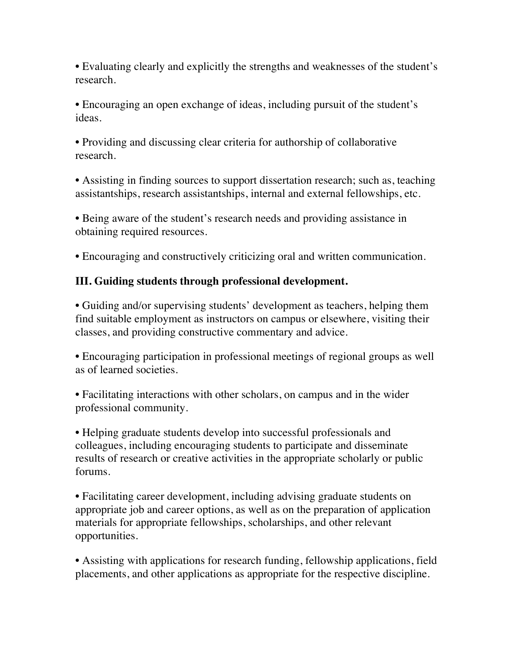• Evaluating clearly and explicitly the strengths and weaknesses of the student's research.

• Encouraging an open exchange of ideas, including pursuit of the student's ideas.

• Providing and discussing clear criteria for authorship of collaborative research.

• Assisting in finding sources to support dissertation research; such as, teaching assistantships, research assistantships, internal and external fellowships, etc.

• Being aware of the student's research needs and providing assistance in obtaining required resources.

• Encouraging and constructively criticizing oral and written communication.

# **III. Guiding students through professional development.**

• Guiding and/or supervising students' development as teachers, helping them find suitable employment as instructors on campus or elsewhere, visiting their classes, and providing constructive commentary and advice.

• Encouraging participation in professional meetings of regional groups as well as of learned societies.

• Facilitating interactions with other scholars, on campus and in the wider professional community.

• Helping graduate students develop into successful professionals and colleagues, including encouraging students to participate and disseminate results of research or creative activities in the appropriate scholarly or public forums.

• Facilitating career development, including advising graduate students on appropriate job and career options, as well as on the preparation of application materials for appropriate fellowships, scholarships, and other relevant opportunities.

• Assisting with applications for research funding, fellowship applications, field placements, and other applications as appropriate for the respective discipline.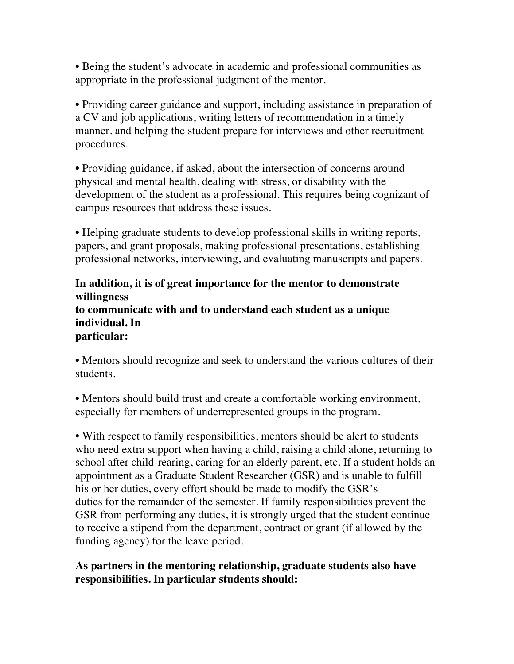• Being the student's advocate in academic and professional communities as appropriate in the professional judgment of the mentor.

• Providing career guidance and support, including assistance in preparation of a CV and job applications, writing letters of recommendation in a timely manner, and helping the student prepare for interviews and other recruitment procedures.

• Providing guidance, if asked, about the intersection of concerns around physical and mental health, dealing with stress, or disability with the development of the student as a professional. This requires being cognizant of campus resources that address these issues.

• Helping graduate students to develop professional skills in writing reports, papers, and grant proposals, making professional presentations, establishing professional networks, interviewing, and evaluating manuscripts and papers.

#### **In addition, it is of great importance for the mentor to demonstrate willingness to communicate with and to understand each student as a unique individual. In particular:**

• Mentors should recognize and seek to understand the various cultures of their students.

• Mentors should build trust and create a comfortable working environment, especially for members of underrepresented groups in the program.

• With respect to family responsibilities, mentors should be alert to students who need extra support when having a child, raising a child alone, returning to school after child-rearing, caring for an elderly parent, etc. If a student holds an appointment as a Graduate Student Researcher (GSR) and is unable to fulfill his or her duties, every effort should be made to modify the GSR's duties for the remainder of the semester. If family responsibilities prevent the GSR from performing any duties, it is strongly urged that the student continue to receive a stipend from the department, contract or grant (if allowed by the funding agency) for the leave period.

### **As partners in the mentoring relationship, graduate students also have responsibilities. In particular students should:**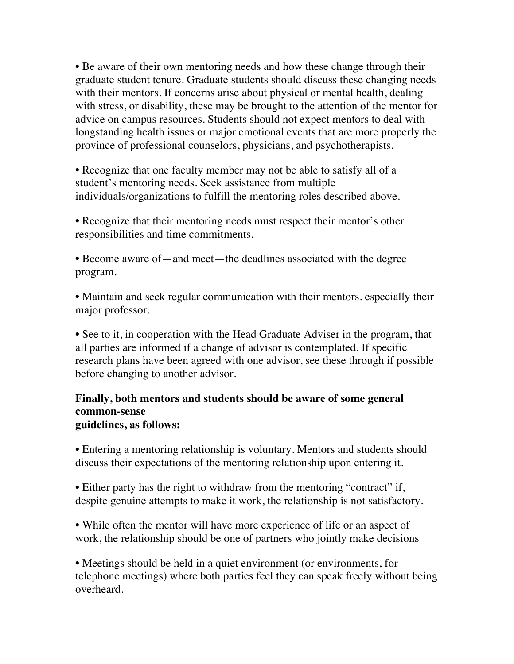• Be aware of their own mentoring needs and how these change through their graduate student tenure. Graduate students should discuss these changing needs with their mentors. If concerns arise about physical or mental health, dealing with stress, or disability, these may be brought to the attention of the mentor for advice on campus resources. Students should not expect mentors to deal with longstanding health issues or major emotional events that are more properly the province of professional counselors, physicians, and psychotherapists.

• Recognize that one faculty member may not be able to satisfy all of a student's mentoring needs. Seek assistance from multiple individuals/organizations to fulfill the mentoring roles described above.

• Recognize that their mentoring needs must respect their mentor's other responsibilities and time commitments.

• Become aware of—and meet—the deadlines associated with the degree program.

• Maintain and seek regular communication with their mentors, especially their major professor.

• See to it, in cooperation with the Head Graduate Adviser in the program, that all parties are informed if a change of advisor is contemplated. If specific research plans have been agreed with one advisor, see these through if possible before changing to another advisor.

#### **Finally, both mentors and students should be aware of some general common-sense guidelines, as follows:**

• Entering a mentoring relationship is voluntary. Mentors and students should discuss their expectations of the mentoring relationship upon entering it.

• Either party has the right to withdraw from the mentoring "contract" if, despite genuine attempts to make it work, the relationship is not satisfactory.

• While often the mentor will have more experience of life or an aspect of work, the relationship should be one of partners who jointly make decisions

• Meetings should be held in a quiet environment (or environments, for telephone meetings) where both parties feel they can speak freely without being overheard.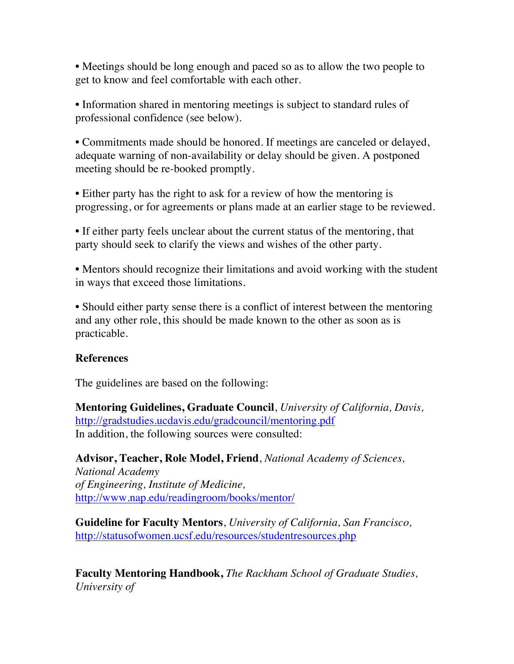• Meetings should be long enough and paced so as to allow the two people to get to know and feel comfortable with each other.

• Information shared in mentoring meetings is subject to standard rules of professional confidence (see below).

• Commitments made should be honored. If meetings are canceled or delayed, adequate warning of non-availability or delay should be given. A postponed meeting should be re-booked promptly.

• Either party has the right to ask for a review of how the mentoring is progressing, or for agreements or plans made at an earlier stage to be reviewed.

• If either party feels unclear about the current status of the mentoring, that party should seek to clarify the views and wishes of the other party.

• Mentors should recognize their limitations and avoid working with the student in ways that exceed those limitations.

• Should either party sense there is a conflict of interest between the mentoring and any other role, this should be made known to the other as soon as is practicable.

#### **References**

The guidelines are based on the following:

**Mentoring Guidelines, Graduate Council**, *University of California, Davis,* http://gradstudies.ucdavis.edu/gradcouncil/mentoring.pdf In addition, the following sources were consulted:

**Advisor, Teacher, Role Model, Friend**, *National Academy of Sciences, National Academy of Engineering, Institute of Medicine,* http://www.nap.edu/readingroom/books/mentor/

**Guideline for Faculty Mentors**, *University of California, San Francisco,* http://statusofwomen.ucsf.edu/resources/studentresources.php

**Faculty Mentoring Handbook,** *The Rackham School of Graduate Studies, University of*